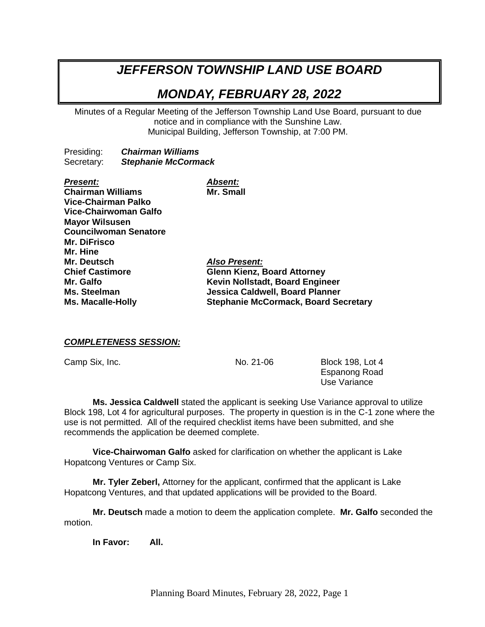# *JEFFERSON TOWNSHIP LAND USE BOARD*

# *MONDAY, FEBRUARY 28, 2022*

Minutes of a Regular Meeting of the Jefferson Township Land Use Board, pursuant to due notice and in compliance with the Sunshine Law. Municipal Building, Jefferson Township, at 7:00 PM.

Presiding: *Chairman Williams* Secretary: *Stephanie McCormack*

| <b>Present:</b>              | <b>Absent:</b>                              |
|------------------------------|---------------------------------------------|
| <b>Chairman Williams</b>     | Mr. Small                                   |
| <b>Vice-Chairman Palko</b>   |                                             |
| Vice-Chairwoman Galfo        |                                             |
| <b>Mayor Wilsusen</b>        |                                             |
| <b>Councilwoman Senatore</b> |                                             |
| Mr. DiFrisco                 |                                             |
| Mr. Hine                     |                                             |
| Mr. Deutsch                  | <b>Also Present:</b>                        |
| <b>Chief Castimore</b>       | <b>Glenn Kienz, Board Attorney</b>          |
| Mr. Galfo                    | Kevin Nollstadt, Board Engineer             |
| <b>Ms. Steelman</b>          | <b>Jessica Caldwell, Board Planner</b>      |
| <b>Ms. Macalle-Holly</b>     | <b>Stephanie McCormack, Board Secretary</b> |
|                              |                                             |

## *COMPLETENESS SESSION:*

Camp Six, Inc. 21-06 Block 198, Lot 4 Espanong Road Use Variance

**Ms. Jessica Caldwell** stated the applicant is seeking Use Variance approval to utilize Block 198, Lot 4 for agricultural purposes. The property in question is in the C-1 zone where the use is not permitted. All of the required checklist items have been submitted, and she recommends the application be deemed complete.

**Vice-Chairwoman Galfo** asked for clarification on whether the applicant is Lake Hopatcong Ventures or Camp Six.

**Mr. Tyler Zeberl,** Attorney for the applicant, confirmed that the applicant is Lake Hopatcong Ventures, and that updated applications will be provided to the Board.

**Mr. Deutsch** made a motion to deem the application complete. **Mr. Galfo** seconded the motion.

**In Favor: All.**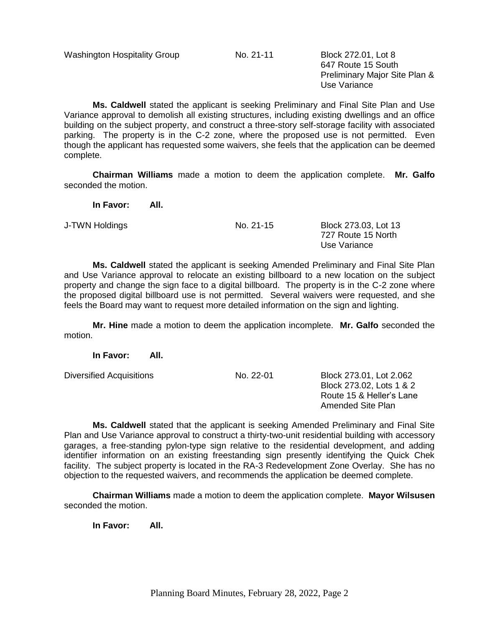Washington Hospitality Group No. 21-11 Block 272.01, Lot 8

647 Route 15 South Preliminary Major Site Plan & Use Variance

**Ms. Caldwell** stated the applicant is seeking Preliminary and Final Site Plan and Use Variance approval to demolish all existing structures, including existing dwellings and an office building on the subject property, and construct a three-story self-storage facility with associated parking. The property is in the C-2 zone, where the proposed use is not permitted. Even though the applicant has requested some waivers, she feels that the application can be deemed complete.

**Chairman Williams** made a motion to deem the application complete. **Mr. Galfo** seconded the motion.

**In Favor: All.**

J-TWN Holdings No. 21-15 Block 273.03, Lot 13 727 Route 15 North Use Variance

**Ms. Caldwell** stated the applicant is seeking Amended Preliminary and Final Site Plan and Use Variance approval to relocate an existing billboard to a new location on the subject property and change the sign face to a digital billboard. The property is in the C-2 zone where the proposed digital billboard use is not permitted. Several waivers were requested, and she feels the Board may want to request more detailed information on the sign and lighting.

**Mr. Hine** made a motion to deem the application incomplete. **Mr. Galfo** seconded the motion.

**In Favor: All.**

Diversified Acquisitions Mo. 22-01 Block 273.01, Lot 2.062 Block 273.02, Lots 1 & 2 Route 15 & Heller's Lane Amended Site Plan

**Ms. Caldwell** stated that the applicant is seeking Amended Preliminary and Final Site Plan and Use Variance approval to construct a thirty-two-unit residential building with accessory garages, a free-standing pylon-type sign relative to the residential development, and adding identifier information on an existing freestanding sign presently identifying the Quick Chek facility. The subject property is located in the RA-3 Redevelopment Zone Overlay. She has no objection to the requested waivers, and recommends the application be deemed complete.

**Chairman Williams** made a motion to deem the application complete. **Mayor Wilsusen** seconded the motion.

**In Favor: All.**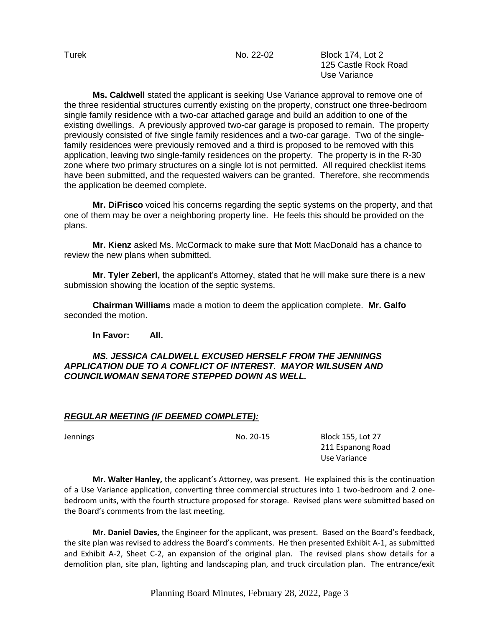Turek **No. 22-02** Block 174, Lot 2 125 Castle Rock Road Use Variance

**Ms. Caldwell** stated the applicant is seeking Use Variance approval to remove one of the three residential structures currently existing on the property, construct one three-bedroom single family residence with a two-car attached garage and build an addition to one of the existing dwellings. A previously approved two-car garage is proposed to remain. The property previously consisted of five single family residences and a two-car garage. Two of the singlefamily residences were previously removed and a third is proposed to be removed with this application, leaving two single-family residences on the property. The property is in the R-30 zone where two primary structures on a single lot is not permitted. All required checklist items have been submitted, and the requested waivers can be granted. Therefore, she recommends the application be deemed complete.

**Mr. DiFrisco** voiced his concerns regarding the septic systems on the property, and that one of them may be over a neighboring property line. He feels this should be provided on the plans.

**Mr. Kienz** asked Ms. McCormack to make sure that Mott MacDonald has a chance to review the new plans when submitted.

**Mr. Tyler Zeberl,** the applicant's Attorney, stated that he will make sure there is a new submission showing the location of the septic systems.

**Chairman Williams** made a motion to deem the application complete. **Mr. Galfo** seconded the motion.

**In Favor: All.**

## *MS. JESSICA CALDWELL EXCUSED HERSELF FROM THE JENNINGS APPLICATION DUE TO A CONFLICT OF INTEREST. MAYOR WILSUSEN AND COUNCILWOMAN SENATORE STEPPED DOWN AS WELL.*

# *REGULAR MEETING (IF DEEMED COMPLETE):*

Jennings No. 20-15 Block 155, Lot 27 211 Espanong Road Use Variance

**Mr. Walter Hanley,** the applicant's Attorney, was present. He explained this is the continuation of a Use Variance application, converting three commercial structures into 1 two-bedroom and 2 onebedroom units, with the fourth structure proposed for storage. Revised plans were submitted based on the Board's comments from the last meeting.

**Mr. Daniel Davies,** the Engineer for the applicant, was present. Based on the Board's feedback, the site plan was revised to address the Board's comments. He then presented Exhibit A-1, as submitted and Exhibit A-2, Sheet C-2, an expansion of the original plan. The revised plans show details for a demolition plan, site plan, lighting and landscaping plan, and truck circulation plan. The entrance/exit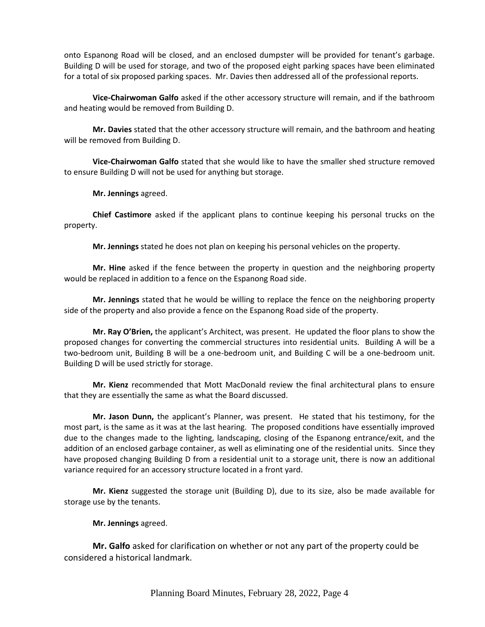onto Espanong Road will be closed, and an enclosed dumpster will be provided for tenant's garbage. Building D will be used for storage, and two of the proposed eight parking spaces have been eliminated for a total of six proposed parking spaces. Mr. Davies then addressed all of the professional reports.

**Vice-Chairwoman Galfo** asked if the other accessory structure will remain, and if the bathroom and heating would be removed from Building D.

**Mr. Davies** stated that the other accessory structure will remain, and the bathroom and heating will be removed from Building D.

**Vice-Chairwoman Galfo** stated that she would like to have the smaller shed structure removed to ensure Building D will not be used for anything but storage.

**Mr. Jennings** agreed.

**Chief Castimore** asked if the applicant plans to continue keeping his personal trucks on the property.

**Mr. Jennings** stated he does not plan on keeping his personal vehicles on the property.

**Mr. Hine** asked if the fence between the property in question and the neighboring property would be replaced in addition to a fence on the Espanong Road side.

**Mr. Jennings** stated that he would be willing to replace the fence on the neighboring property side of the property and also provide a fence on the Espanong Road side of the property.

**Mr. Ray O'Brien,** the applicant's Architect, was present. He updated the floor plans to show the proposed changes for converting the commercial structures into residential units. Building A will be a two-bedroom unit, Building B will be a one-bedroom unit, and Building C will be a one-bedroom unit. Building D will be used strictly for storage.

**Mr. Kienz** recommended that Mott MacDonald review the final architectural plans to ensure that they are essentially the same as what the Board discussed.

**Mr. Jason Dunn,** the applicant's Planner, was present. He stated that his testimony, for the most part, is the same as it was at the last hearing. The proposed conditions have essentially improved due to the changes made to the lighting, landscaping, closing of the Espanong entrance/exit, and the addition of an enclosed garbage container, as well as eliminating one of the residential units. Since they have proposed changing Building D from a residential unit to a storage unit, there is now an additional variance required for an accessory structure located in a front yard.

**Mr. Kienz** suggested the storage unit (Building D), due to its size, also be made available for storage use by the tenants.

**Mr. Jennings** agreed.

**Mr. Galfo** asked for clarification on whether or not any part of the property could be considered a historical landmark.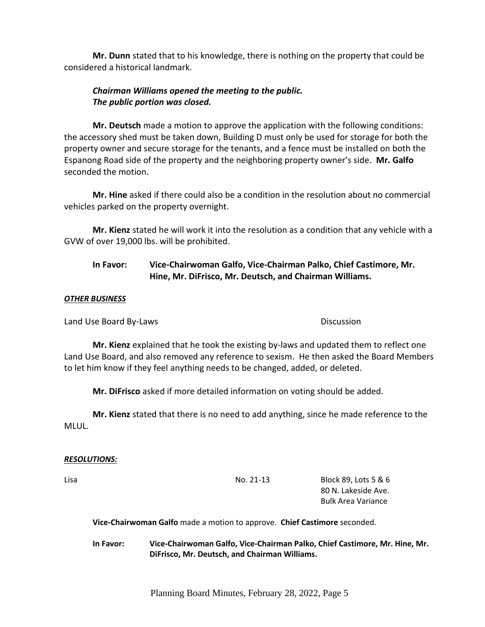**Mr. Dunn** stated that to his knowledge, there is nothing on the property that could be considered a historical landmark.

# *Chairman Williams opened the meeting to the public. The public portion was closed.*

**Mr. Deutsch** made a motion to approve the application with the following conditions: the accessory shed must be taken down, Building D must only be used for storage for both the property owner and secure storage for the tenants, and a fence must be installed on both the Espanong Road side of the property and the neighboring property owner's side. **Mr. Galfo** seconded the motion.

**Mr. Hine** asked if there could also be a condition in the resolution about no commercial vehicles parked on the property overnight.

**Mr. Kienz** stated he will work it into the resolution as a condition that any vehicle with a GVW of over 19,000 lbs. will be prohibited.

# **In Favor: Vice-Chairwoman Galfo, Vice-Chairman Palko, Chief Castimore, Mr. Hine, Mr. DiFrisco, Mr. Deutsch, and Chairman Williams.**

### *OTHER BUSINESS*

Land Use Board By-Laws Discussion Controller and Discussion

**Mr. Kienz** explained that he took the existing by-laws and updated them to reflect one Land Use Board, and also removed any reference to sexism. He then asked the Board Members to let him know if they feel anything needs to be changed, added, or deleted.

**Mr. DiFrisco** asked if more detailed information on voting should be added.

**Mr. Kienz** stated that there is no need to add anything, since he made reference to the MLUL.

#### *RESOLUTIONS:*

Lisa No. 21-13 Block 89, Lots 5 & 6 80 N. Lakeside Ave. Bulk Area Variance

**Vice-Chairwoman Galfo** made a motion to approve. **Chief Castimore** seconded.

**In Favor: Vice-Chairwoman Galfo, Vice-Chairman Palko, Chief Castimore, Mr. Hine, Mr. DiFrisco, Mr. Deutsch, and Chairman Williams.**